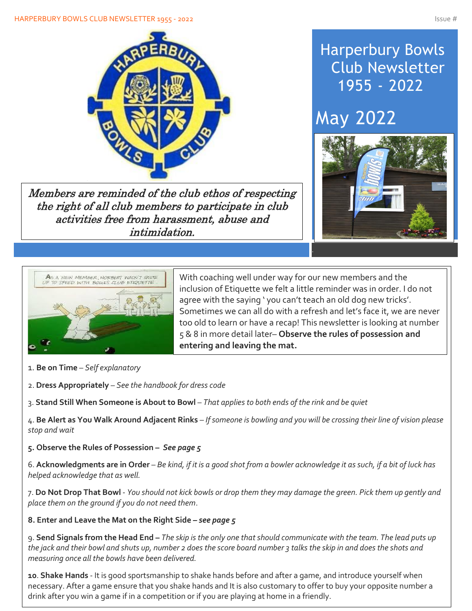

Members are reminded of the club ethos of respecting the right of all club members to participate in club activities free from harassment, abuse and intimidation.

## Harperbury Bowls Club Newsletter 1955 - 2022

# May 2022





With coaching well under way for our new members and the inclusion of Etiquette we felt a little reminder was in order. I do not agree with the saying ' you can't teach an old dog new tricks'. Sometimes we can all do with a refresh and let's face it, we are never too old to learn or have a recap! This newsletter is looking at number 5 & 8 in more detail later– **Observe the rules of possession and entering and leaving the mat.**

- 1. **Be on Time** *Self explanatory*
- 2. **Dress Appropriately** *See the handbook for dress code*
- 3. **Stand Still When Someone is About to Bowl** *That applies to both ends of the rink and be quiet*

4. **Be Alert as You Walk Around Adjacent Rinks** – *If someone is bowling and you will be crossing their line of vision please stop and wait*

**5. Observe the Rules of Possession –** *See page 5*

6. **Acknowledgments are in Order** – *Be kind, if it is a good shot from a bowler acknowledge it as such, if a bit of luck has helped acknowledge that as well.*

7. **Do Not Drop That Bowl** - *You should not kick bowls or drop them they may damage the green. Pick them up gently and place them on the ground if you do not need them*.

#### **8. Enter and Leave the Mat on the Right Side –** *see page 5*

9. **Send Signals from the Head End –** *The skip is the only one that should communicate with the team. The lead puts up the jack and their bowl and shuts up, number 2 does the score board number 3 talks the skip in and does the shots and measuring once all the bowls have been delivered.*

**10**. **Shake Hands** - It is good sportsmanship to shake hands before and after a game, and introduce yourself when necessary. After a game ensure that you shake hands and It is also customary to offer to buy your opposite number a drink after you win a game if in a competition or if you are playing at home in a friendly.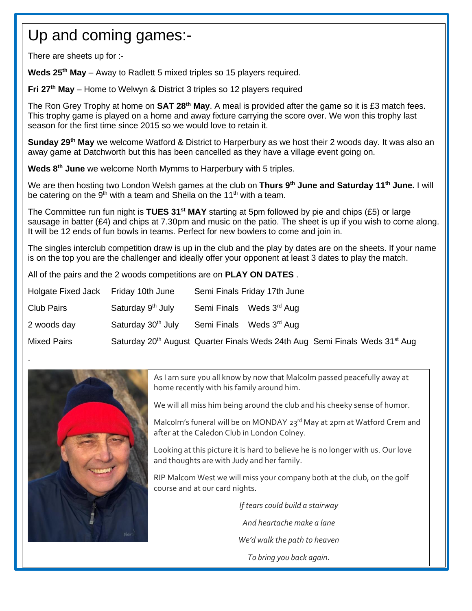## Up and coming games:-

There are sheets up for :-

Í

 $\overline{\phantom{a}}$ 

I

I

I

I

I

I

I

I

.

**Weds 25th May** – Away to Radlett 5 mixed triples so 15 players required.

**Fri 27th May** – Home to Welwyn & District 3 triples so 12 players required

The Ron Grey Trophy at home on **SAT 28th May**. A meal is provided after the game so it is £3 match fees. This trophy game is played on a home and away fixture carrying the score over. We won this trophy last season for the first time since 2015 so we would love to retain it.

**Sunday 29th May** we welcome Watford & District to Harperbury as we host their 2 woods day. It was also an away game at Datchworth but this has been cancelled as they have a village event going on.

**Weds 8th June** we welcome North Mymms to Harperbury with 5 triples.

We are then hosting two London Welsh games at the club on **Thurs 9th June and Saturday 11th June.** I will be catering on the 9<sup>th</sup> with a team and Sheila on the 11<sup>th</sup> with a team.

The Committee run fun night is **TUES 31st MAY** starting at 5pm followed by pie and chips (£5) or large sausage in batter (£4) and chips at 7.30pm and music on the patio. The sheet is up if you wish to come along. It will be 12 ends of fun bowls in teams. Perfect for new bowlers to come and join in.

The singles interclub competition draw is up in the club and the play by dates are on the sheets. If your name is on the top you are the challenger and ideally offer your opponent at least 3 dates to play the match.

All of the pairs and the 2 woods competitions are on **PLAY ON DATES** .

| Holgate Fixed Jack Friday 10th June |                                                                                                     | Semi Finals Friday 17th June         |  |  |
|-------------------------------------|-----------------------------------------------------------------------------------------------------|--------------------------------------|--|--|
| <b>Club Pairs</b>                   | Saturday 9 <sup>th</sup> July                                                                       | Semi Finals Weds 3 <sup>rd</sup> Aug |  |  |
| 2 woods day                         | Saturday 30 <sup>th</sup> July                                                                      | Semi Finals Weds 3 <sup>rd</sup> Aug |  |  |
| <b>Mixed Pairs</b>                  | Saturday 20 <sup>th</sup> August Quarter Finals Weds 24th Aug Semi Finals Weds 31 <sup>st</sup> Aug |                                      |  |  |



As I am sure you all know by now that Malcolm passed peacefully away at home recently with his family around him.

We will all miss him being around the club and his cheeky sense of humor.

Malcolm's funeral will be on MONDAY 23<sup>rd</sup> May at 2pm at Watford Crem and after at the Caledon Club in London Colney.

Looking at this picture it is hard to believe he is no longer with us. Our love and thoughts are with Judy and her family.

RIP Malcom West we will miss your company both at the club, on the golf course and at our card nights.

> *If tears could build a stairway And heartache make a lane We'd walk the path to heaven To bring you back again.*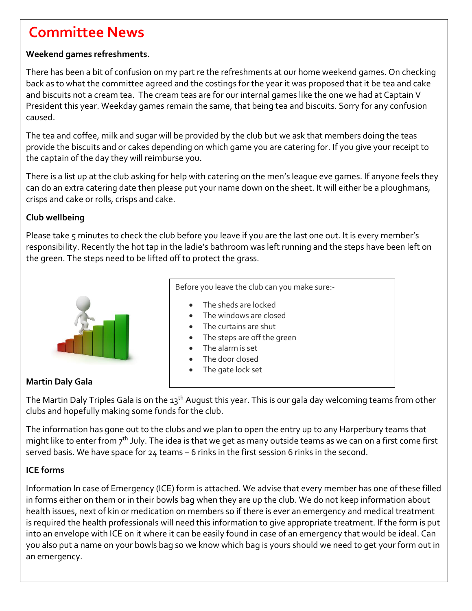## **Committee News**

#### **Weekend games refreshments.**

There has been a bit of confusion on my part re the refreshments at our home weekend games. On checking back as to what the committee agreed and the costings for the year it was proposed that it be tea and cake and biscuits not a cream tea. The cream teas are for our internal games like the one we had at Captain V President this year. Weekday games remain the same, that being tea and biscuits. Sorry for any confusion caused.

The tea and coffee, milk and sugar will be provided by the club but we ask that members doing the teas provide the biscuits and or cakes depending on which game you are catering for. If you give your receipt to the captain of the day they will reimburse you.

There is a list up at the club asking for help with catering on the men's league eve games. If anyone feels they can do an extra catering date then please put your name down on the sheet. It will either be a ploughmans, crisps and cake or rolls, crisps and cake.

#### **Club wellbeing**

Please take 5 minutes to check the club before you leave if you are the last one out. It is every member's responsibility. Recently the hot tap in the ladie's bathroom was left running and the steps have been left on the green. The steps need to be lifted off to protect the grass.



Before you leave the club can you make sure:-

- The sheds are locked
- The windows are closed
- The curtains are shut
- The steps are off the green
- The alarm is set
- The door closed
- The gate lock set

#### **Martin Daly Gala**

The Martin Daly Triples Gala is on the 13<sup>th</sup> August this year. This is our gala day welcoming teams from other clubs and hopefully making some funds for the club.

The information has gone out to the clubs and we plan to open the entry up to any Harperbury teams that might like to enter from  $7<sup>th</sup>$  July. The idea is that we get as many outside teams as we can on a first come first served basis. We have space for 24 teams – 6 rinks in the first session 6 rinks in the second.

#### **ICE forms**

Information In case of Emergency (ICE) form is attached. We advise that every member has one of these filled in forms either on them or in their bowls bag when they are up the club. We do not keep information about health issues, next of kin or medication on members so if there is ever an emergency and medical treatment is required the health professionals will need this information to give appropriate treatment. If the form is put into an envelope with ICE on it where it can be easily found in case of an emergency that would be ideal. Can you also put a name on your bowls bag so we know which bag is yours should we need to get your form out in an emergency.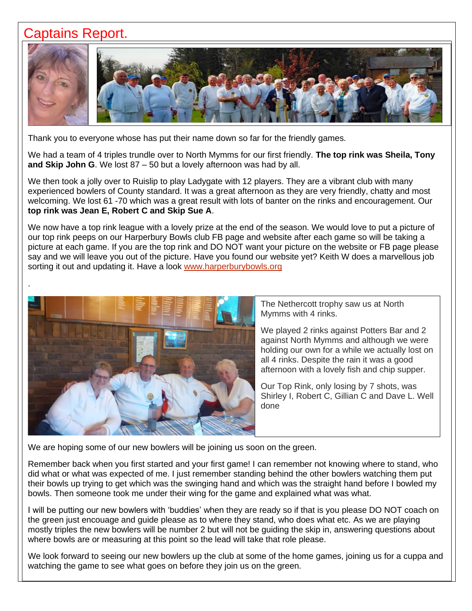### Captains Report.



Thank you to everyone whose has put their name down so far for the friendly games.

We had a team of 4 triples trundle over to North Mymms for our first friendly. **The top rink was Sheila, Tony and Skip John G**. We lost 87 – 50 but a lovely afternoon was had by all.

We then took a jolly over to Ruislip to play Ladygate with 12 players. They are a vibrant club with many experienced bowlers of County standard. It was a great afternoon as they are very friendly, chatty and most welcoming. We lost 61 -70 which was a great result with lots of banter on the rinks and encouragement. Our **top rink was Jean E, Robert C and Skip Sue A**.

We now have a top rink league with a lovely prize at the end of the season. We would love to put a picture of our top rink peeps on our Harperbury Bowls club FB page and website after each game so will be taking a picture at each game. If you are the top rink and DO NOT want your picture on the website or FB page please say and we will leave you out of the picture. Have you found our website yet? Keith W does a marvellous job sorting it out and updating it. Have a look [www.harperburybowls.org](http://www.harperburybowls.org/)



The Nethercott trophy saw us at North Mymms with 4 rinks.

We played 2 rinks against Potters Bar and 2 against North Mymms and although we were holding our own for a while we actually lost on all 4 rinks. Despite the rain it was a good afternoon with a lovely fish and chip supper.

Our Top Rink, only losing by 7 shots, was Shirley I, Robert C, Gillian C and Dave L. Well done

We are hoping some of our new bowlers will be joining us soon on the green.

Remember back when you first started and your first game! I can remember not knowing where to stand, who did what or what was expected of me. I just remember standing behind the other bowlers watching them put their bowls up trying to get which was the swinging hand and which was the straight hand before I bowled my bowls. Then someone took me under their wing for the game and explained what was what.

I will be putting our new bowlers with 'buddies' when they are ready so if that is you please DO NOT coach on the green just encouage and guide please as to where they stand, who does what etc. As we are playing mostly triples the new bowlers will be number 2 but will not be guiding the skip in, answering questions about where bowls are or measuring at this point so the lead will take that role please.

We look forward to seeing our new bowlers up the club at some of the home games, joining us for a cuppa and watching the game to see what goes on before they join us on the green.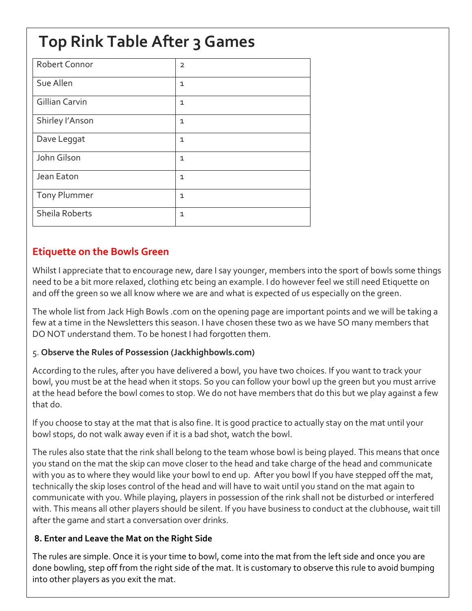## **Top Rink Table After 3 Games**

| Robert Connor         | $\overline{2}$ |
|-----------------------|----------------|
| Sue Allen             | $\mathbf{1}$   |
| <b>Gillian Carvin</b> | $\mathbf{1}$   |
| Shirley I'Anson       | $\mathbf{1}$   |
| Dave Leggat           | $\mathbf{1}$   |
| John Gilson           | $\mathbf{1}$   |
| Jean Eaton            | $\mathbf{1}$   |
| Tony Plummer          | $\mathbf{1}$   |
| Sheila Roberts        | $\mathbf{1}$   |
|                       |                |

#### **Etiquette on the Bowls Green**

Whilst I appreciate that to encourage new, dare I say younger, members into the sport of bowls some things need to be a bit more relaxed, clothing etc being an example. I do however feel we still need Etiquette on and off the green so we all know where we are and what is expected of us especially on the green.

The whole list from Jack High Bowls .com on the opening page are important points and we will be taking a few at a time in the Newsletters this season. I have chosen these two as we have SO many members that DO NOT understand them. To be honest I had forgotten them.

#### 5. **Observe the Rules of Possession (Jackhighbowls.com)**

According to the rules, after you have delivered a bowl, you have two choices. If you want to track your bowl, you must be at the head when it stops. So you can follow your bowl up the green but you must arrive at the head before the bowl comes to stop. We do not have members that do this but we play against a few that do.

If you choose to stay at the mat that is also fine. It is good practice to actually stay on the mat until your bowl stops, do not walk away even if it is a bad shot, watch the bowl.

The rules also state that the rink shall belong to the team whose bowl is being played. This means that once you stand on the mat the skip can move closer to the head and take charge of the head and communicate with you as to where they would like your bowl to end up. After you bowl If you have stepped off the mat, technically the skip loses control of the head and will have to wait until you stand on the mat again to communicate with you. While playing, players in possession of the rink shall not be disturbed or interfered with. This means all other players should be silent. If you have business to conduct at the clubhouse, wait till after the game and start a conversation over drinks.

#### **8. Enter and Leave the Mat on the Right Side**

The rules are simple. Once it is your time to bowl, come into the mat from the left side and once you are done bowling, step off from the right side of the mat. It is customary to observe this rule to avoid bumping into other players as you exit the mat.